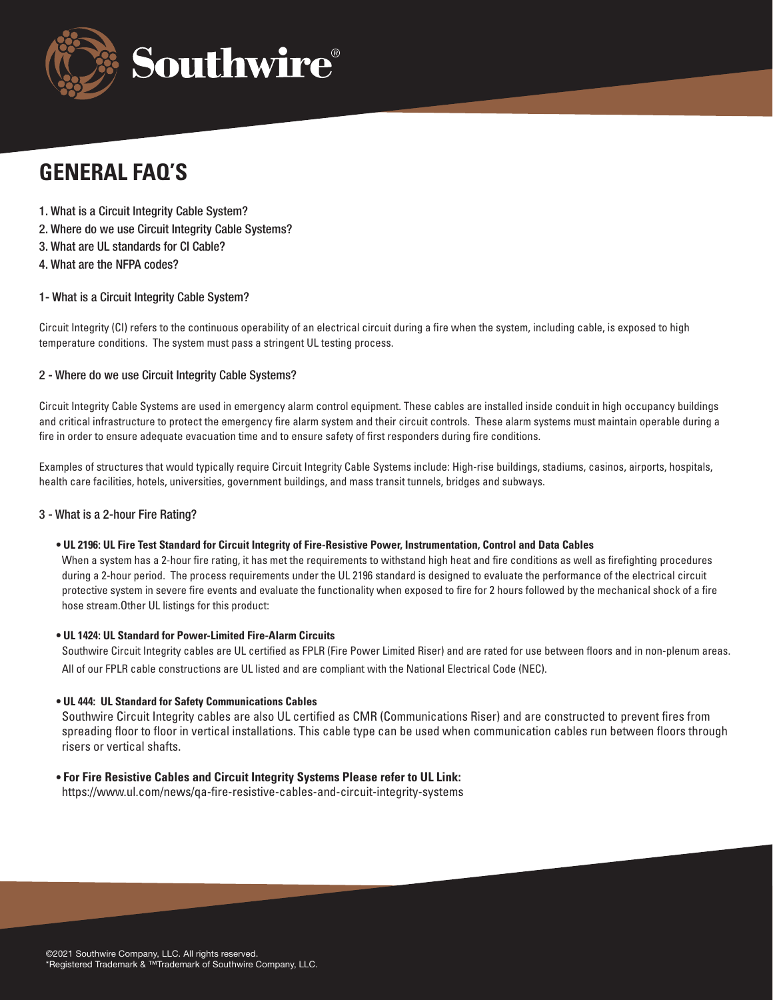

# **GENERAL FAQ'S**

- 1. What is a Circuit Integrity Cable System?
- 2. Where do we use Circuit Integrity Cable Systems?
- 3. What are UL standards for CI Cable?
- 4. What are the NFPA codes?

## 1- What is a Circuit Integrity Cable System?

Circuit Integrity (CI) refers to the continuous operability of an electrical circuit during a fire when the system, including cable, is exposed to high temperature conditions. The system must pass a stringent UL testing process.

## 2 - Where do we use Circuit Integrity Cable Systems?

Circuit Integrity Cable Systems are used in emergency alarm control equipment. These cables are installed inside conduit in high occupancy buildings and critical infrastructure to protect the emergency fire alarm system and their circuit controls. These alarm systems must maintain operable during a fire in order to ensure adequate evacuation time and to ensure safety of first responders during fire conditions.

Examples of structures that would typically require Circuit Integrity Cable Systems include: High-rise buildings, stadiums, casinos, airports, hospitals, health care facilities, hotels, universities, government buildings, and mass transit tunnels, bridges and subways.

#### 3 - What is a 2-hour Fire Rating?

**• UL 2196: UL Fire Test Standard for Circuit Integrity of Fire-Resistive Power, Instrumentation, Control and Data Cables**

When a system has a 2-hour fire rating, it has met the requirements to withstand high heat and fire conditions as well as firefighting procedures during a 2-hour period. The process requirements under the UL 2196 standard is designed to evaluate the performance of the electrical circuit protective system in severe fire events and evaluate the functionality when exposed to fire for 2 hours followed by the mechanical shock of a fire hose stream.Other UL listings for this product:

#### **• UL 1424: UL Standard for Power-Limited Fire-Alarm Circuits**

Southwire Circuit Integrity cables are UL certified as FPLR (Fire Power Limited Riser) and are rated for use between floors and in non-plenum areas. All of our FPLR cable constructions are UL listed and are compliant with the National Electrical Code (NEC).

#### **• UL 444: UL Standard for Safety Communications Cables**

Southwire Circuit Integrity cables are also UL certified as CMR (Communications Riser) and are constructed to prevent fires from spreading floor to floor in vertical installations. This cable type can be used when communication cables run between floors through risers or vertical shafts.

#### **• For Fire Resistive Cables and Circuit Integrity Systems Please refer to UL Link:**

https://www.ul.com/news/qa-fire-resistive-cables-and-circuit-integrity-systems